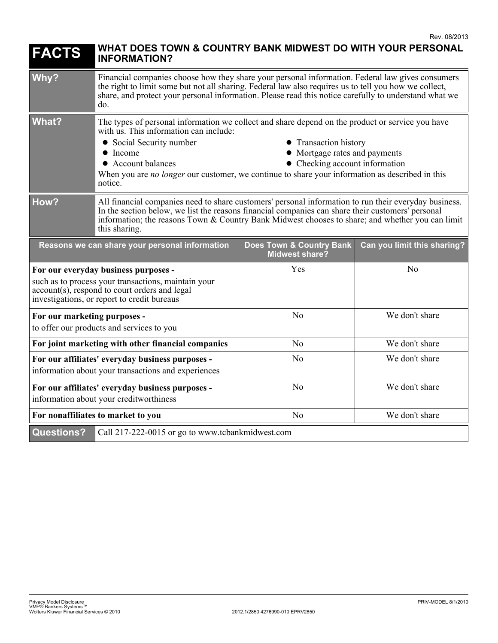| <b>FACTS</b>                                                                                                                                                                                   | WHAT DOES TOWN & COUNTRY BANK MIDWEST DO WITH YOUR PERSONAL<br><b>INFORMATION?</b>                                                                                                                                                                                                                                                                                                                                         |                                                              |                             |
|------------------------------------------------------------------------------------------------------------------------------------------------------------------------------------------------|----------------------------------------------------------------------------------------------------------------------------------------------------------------------------------------------------------------------------------------------------------------------------------------------------------------------------------------------------------------------------------------------------------------------------|--------------------------------------------------------------|-----------------------------|
| Why?                                                                                                                                                                                           | Financial companies choose how they share your personal information. Federal law gives consumers<br>the right to limit some but not all sharing. Federal law also requires us to tell you how we collect,<br>share, and protect your personal information. Please read this notice carefully to understand what we<br>do.                                                                                                  |                                                              |                             |
| <b>What?</b>                                                                                                                                                                                   | The types of personal information we collect and share depend on the product or service you have<br>with us. This information can include:<br>• Social Security number<br>• Transaction history<br>• Mortgage rates and payments<br>$\bullet$ Income<br>• Checking account information<br>• Account balances<br>When you are no longer our customer, we continue to share your information as described in this<br>notice. |                                                              |                             |
| How?                                                                                                                                                                                           | All financial companies need to share customers' personal information to run their everyday business.<br>In the section below, we list the reasons financial companies can share their customers' personal<br>information; the reasons Town & Country Bank Midwest chooses to share; and whether you can limit<br>this sharing.                                                                                            |                                                              |                             |
| Reasons we can share your personal information                                                                                                                                                 |                                                                                                                                                                                                                                                                                                                                                                                                                            | <b>Does Town &amp; Country Bank</b><br><b>Midwest share?</b> | Can you limit this sharing? |
| For our everyday business purposes -<br>such as to process your transactions, maintain your<br>$account(s)$ , respond to court orders and legal<br>investigations, or report to credit bureaus |                                                                                                                                                                                                                                                                                                                                                                                                                            | Yes                                                          | N <sub>o</sub>              |
| For our marketing purposes -<br>to offer our products and services to you                                                                                                                      |                                                                                                                                                                                                                                                                                                                                                                                                                            | N <sub>o</sub>                                               | We don't share              |
| For joint marketing with other financial companies                                                                                                                                             |                                                                                                                                                                                                                                                                                                                                                                                                                            | No                                                           | We don't share              |
| For our affiliates' everyday business purposes -<br>information about your transactions and experiences                                                                                        |                                                                                                                                                                                                                                                                                                                                                                                                                            | N <sub>0</sub>                                               | We don't share              |
| For our affiliates' everyday business purposes -<br>information about your creditworthiness                                                                                                    |                                                                                                                                                                                                                                                                                                                                                                                                                            | N <sub>o</sub>                                               | We don't share              |
| For nonaffiliates to market to you                                                                                                                                                             |                                                                                                                                                                                                                                                                                                                                                                                                                            | N <sub>o</sub>                                               | We don't share              |
| <b>Questions?</b><br>Call 217-222-0015 or go to www.tcbankmidwest.com                                                                                                                          |                                                                                                                                                                                                                                                                                                                                                                                                                            |                                                              |                             |